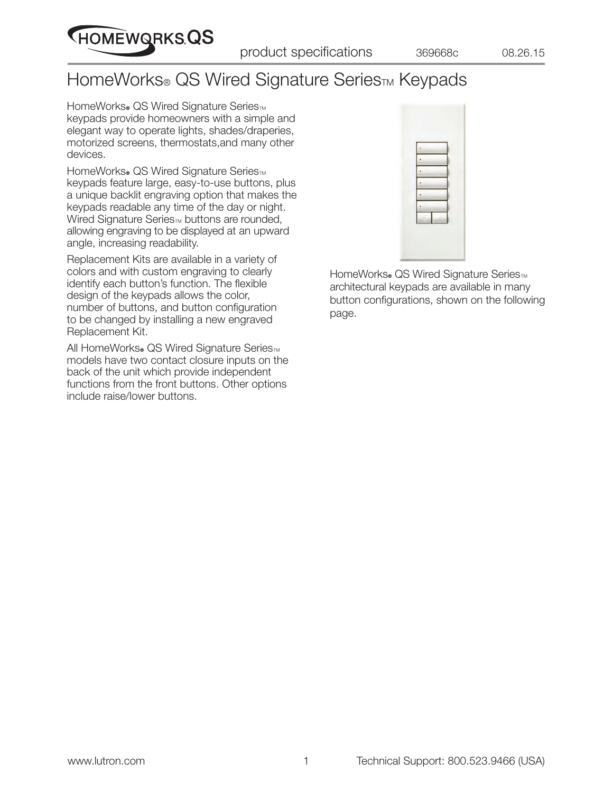product specifications 369668c 08.26.15

# HomeWorks® QS Wired Signature Series<sub>™</sub> Keypads

HomeWorks. QS Wired Signature Series<sub>TM</sub> keypads provide homeowners with a simple and elegant way to operate lights, shades/draperies, motorized screens, thermostats,and many other devices.

HOMEWQRKSQS

HomeWorks. QS Wired Signature Series<sub>TM</sub> keypads feature large, easy-to-use buttons, plus a unique backlit engraving option that makes the keypads readable any time of the day or night. Wired Signature Series $\mathbb{R}$  buttons are rounded, allowing engraving to be displayed at an upward angle, increasing readability.

Replacement Kits are available in a variety of colors and with custom engraving to clearly identify each button's function. The flexible design of the keypads allows the color, number of buttons, and button configuration to be changed by installing a new engraved Replacement Kit.

All HomeWorks® QS Wired Signature Series<sub>™</sub> models have two contact closure inputs on the back of the unit which provide independent functions from the front buttons. Other options include raise/lower buttons.

HomeWorks. QS Wired Signature Series<sub>TM</sub> architectural keypads are available in many button configurations, shown on the following page.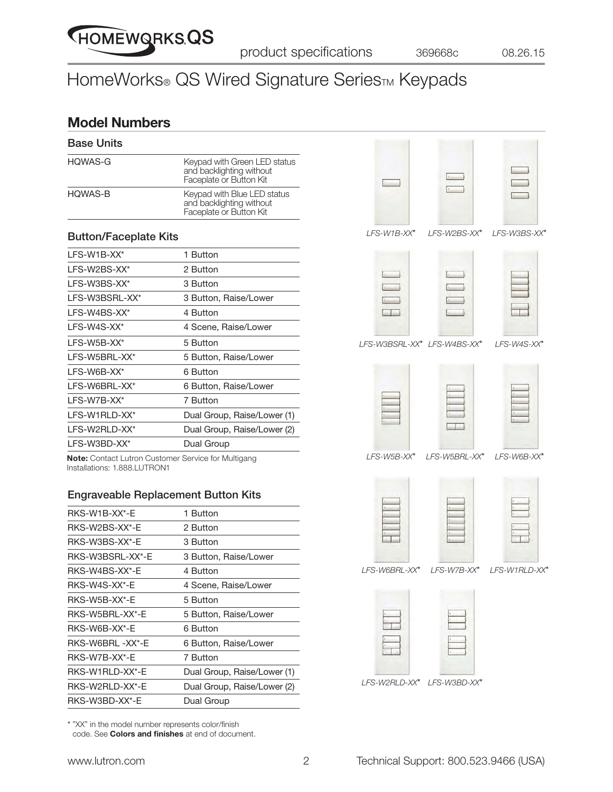

# HomeWorks® QS Wired Signature Series™ Keypads

### Model Numbers

#### Base Units

| <b>HQWAS-G</b> | Keypad with Green LED status<br>and backlighting without<br>Faceplate or Button Kit |
|----------------|-------------------------------------------------------------------------------------|
| <b>HQWAS-B</b> | Keypad with Blue LED status<br>and backlighting without<br>Faceplate or Button Kit  |

#### Button/Faceplate Kits

| $LFS-W1B-XX^*$  | 1 Button                    |
|-----------------|-----------------------------|
| LFS-W2BS-XX*    | 2 Button                    |
| LFS-W3BS-XX*    | 3 Button                    |
| LFS-W3BSRL-XX*  | 3 Button, Raise/Lower       |
| LFS-W4BS-XX*    | 4 Button                    |
| LFS-W4S-XX*     | 4 Scene, Raise/Lower        |
| $LFS-W5B-XX*$   | 5 Button                    |
| I FS-W5BRI -XX* | 5 Button, Raise/Lower       |
| LFS-W6B-XX*     | 6 Button                    |
| LFS-W6BRL-XX*   | 6 Button, Raise/Lower       |
| LFS-W7B-XX*     | 7 Button                    |
| LFS-W1RLD-XX*   | Dual Group, Raise/Lower (1) |
| LFS-W2RLD-XX*   | Dual Group, Raise/Lower (2) |
| LFS-W3BD-XX*    | Dual Group                  |
|                 |                             |

Note: Contact Lutron Customer Service for Multigang Installations: 1.888.LUTRON1

#### Engraveable Replacement Button Kits

| RKS-W1B-XX*-F    | 1 Button                    |
|------------------|-----------------------------|
| RKS-W2BS-XX*-E   | 2 Button                    |
| RKS-W3BS-XX*-F   | 3 Button                    |
| RKS-W3BSRL-XX*-E | 3 Button, Raise/Lower       |
| RKS-W4BS-XX*-E   | 4 Button                    |
| RKS-W4S-XX*-F    | 4 Scene, Raise/Lower        |
| RKS-W5B-XX*-F    | 5 Button                    |
| RKS-W5BRI-XX*-F  | 5 Button, Raise/Lower       |
| RKS-W6B-XX*-E    | 6 Button                    |
| RKS-W6BRI-XX*-F  | 6 Button, Raise/Lower       |
| RKS-W7B-XX*-F    | 7 Button                    |
| RKS-W1RLD-XX*-E  | Dual Group, Raise/Lower (1) |
| RKS-W2RI D-XX*-F | Dual Group, Raise/Lower (2) |
| RKS-W3BD-XX*-F   | Dual Group                  |
|                  |                             |

\* "XX" in the model number represents color/finish code. See Colors and finishes at end of document.

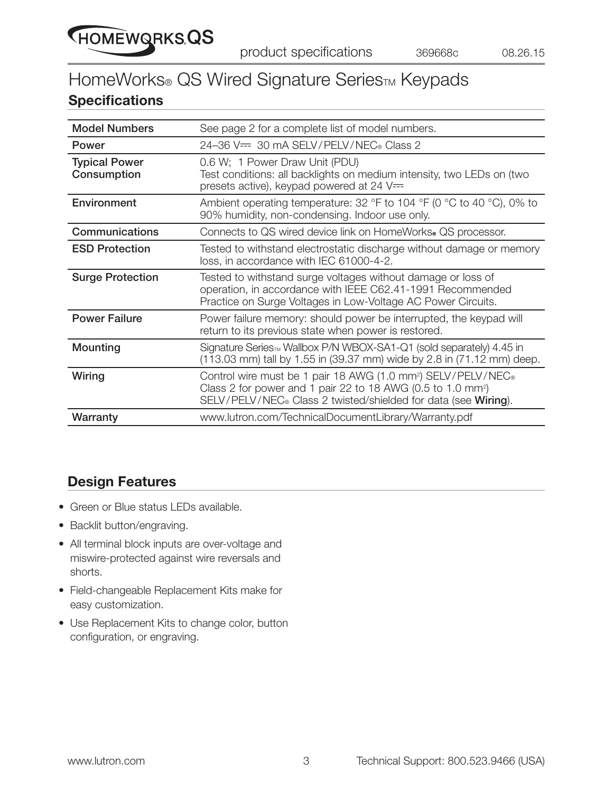

## HomeWorks® QS Wired Signature SeriesTM Keypads

### **Specifications**

| <b>Model Numbers</b>                | See page 2 for a complete list of model numbers.                                                                                                                                                                                                      |
|-------------------------------------|-------------------------------------------------------------------------------------------------------------------------------------------------------------------------------------------------------------------------------------------------------|
| Power                               | 24-36 V== 30 mA SELV/PELV/NEC® Class 2                                                                                                                                                                                                                |
| <b>Typical Power</b><br>Consumption | 0.6 W; 1 Power Draw Unit (PDU)<br>Test conditions: all backlights on medium intensity, two LEDs on (two<br>presets active), keypad powered at 24 V==                                                                                                  |
| Environment                         | Ambient operating temperature: 32 °F to 104 °F (0 °C to 40 °C), 0% to<br>90% humidity, non-condensing. Indoor use only.                                                                                                                               |
| Communications                      | Connects to QS wired device link on HomeWorks. QS processor.                                                                                                                                                                                          |
| <b>ESD Protection</b>               | Tested to withstand electrostatic discharge without damage or memory<br>loss, in accordance with IEC 61000-4-2.                                                                                                                                       |
| <b>Surge Protection</b>             | Tested to withstand surge voltages without damage or loss of<br>operation, in accordance with IEEE C62.41-1991 Recommended<br>Practice on Surge Voltages in Low-Voltage AC Power Circuits.                                                            |
| <b>Power Failure</b>                | Power failure memory: should power be interrupted, the keypad will<br>return to its previous state when power is restored.                                                                                                                            |
| Mounting                            | Signature Series™ Wallbox P/N WBOX-SA1-Q1 (sold separately) 4.45 in<br>(113.03 mm) tall by 1.55 in (39.37 mm) wide by 2.8 in (71.12 mm) deep.                                                                                                         |
| Wiring                              | Control wire must be 1 pair 18 AWG (1.0 mm <sup>2</sup> ) SELV/PELV/NEC <sup>®</sup><br>Class 2 for power and 1 pair 22 to 18 AWG (0.5 to 1.0 mm <sup>2</sup> )<br>SELV/PELV/NEC <sup>®</sup> Class 2 twisted/shielded for data (see <b>Wiring</b> ). |
| Warranty                            | www.lutron.com/TechnicalDocumentLibrary/Warranty.pdf                                                                                                                                                                                                  |

### Design Features

- Green or Blue status LEDs available.
- Backlit button/engraving.
- All terminal block inputs are over-voltage and miswire-protected against wire reversals and shorts.
- Field-changeable Replacement Kits make for easy customization.
- Use Replacement Kits to change color, button configuration, or engraving.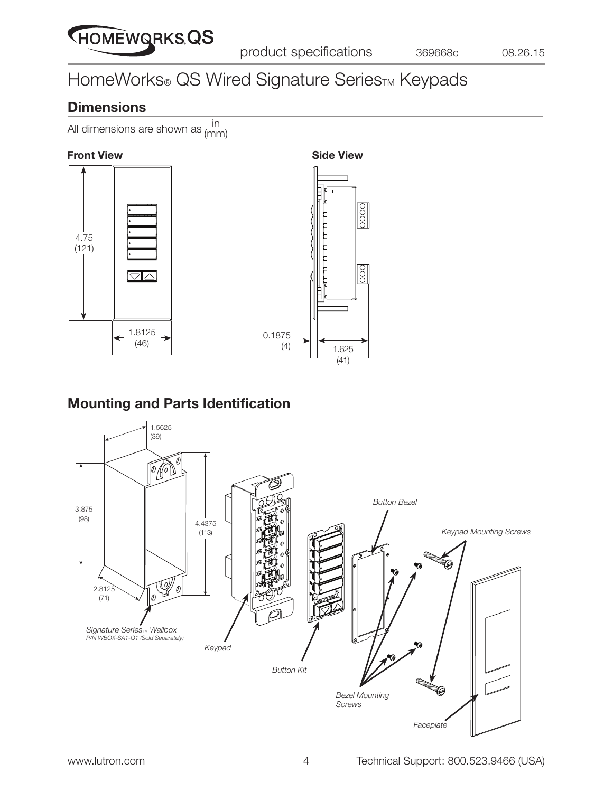

# HomeWorks® QS Wired Signature SeriesTM Keypads

### **Dimensions**

all dimensions are shown as <sub>(mm)</sub><br>(mm

#### **Front View Side View Side View Side View Side View**



## Mounting and Parts Identification

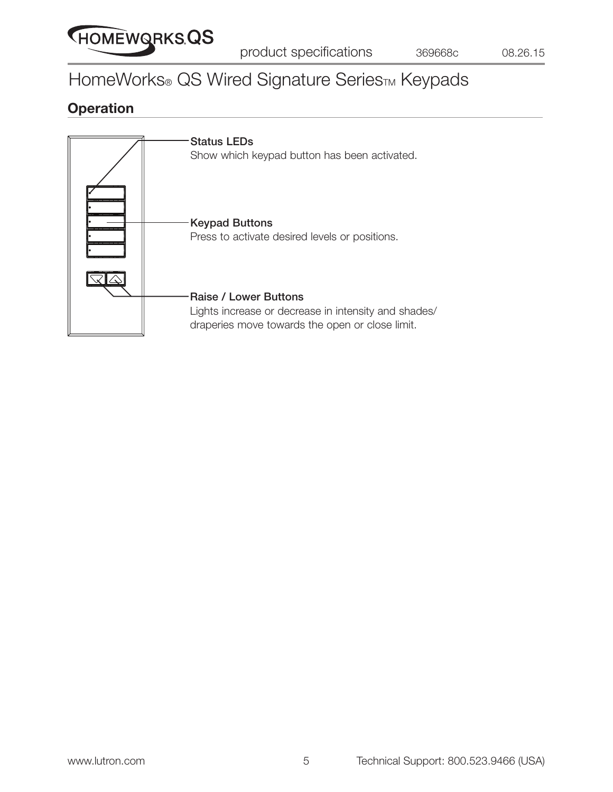

## HomeWorks® QS Wired Signature Series™ Keypads

## **Operation**

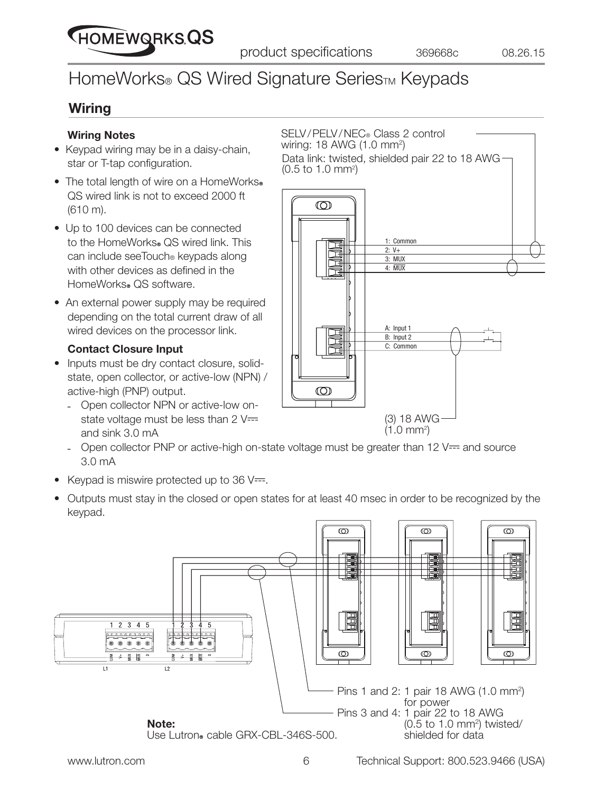

 $\circledcirc$ 

 $\circledcirc$ 

# HomeWorks® QS Wired Signature Series™ Keypads

### **Wiring**

#### Wiring Notes

- Keypad wiring may be in a daisy-chain, star or T-tap configuration.
- The total length of wire on a HomeWorks. QS wired link is not to exceed 2000 ft (610 m).
- Up to 100 devices can be connected to the HomeWorks. QS wired link. This can include seeTouch® keypads along with other devices as defined in the HomeWorks. OS software.
- An external power supply may be required depending on the total current draw of all wired devices on the processor link.

#### Contact Closure Input

- Inputs must be dry contact closure, solidstate, open collector, or active-low (NPN) / active-high (PNP) output.
	- Open collector NPN or active-low onstate voltage must be less than  $2 \nV =$ and sink 3.0 mA
	- Open collector PNP or active-high on-state voltage must be greater than  $12 \nV =$  and source 3.0 mA  $(1.0 \text{ mm}^2)$
- Keypad is miswire protected up to  $36 \, \text{V}$ .
- Outputs must stay in the closed or open states for at least 40 msec in order to be recognized by the keypad.



Data link: twisted, shielded pair 22 to 18 AWG  $(0.5 \text{ to } 1.0 \text{ mm}^2)$ SELV/PELV/NEC® Class 2 control wiring: 18 AWG (1.0 mm<sup>2</sup>)

> 1: Common 2: V+ 3: MUX  $4.$  MIIX

A: Input 1 B: Input 2 C: Common

(3) 18 AWG